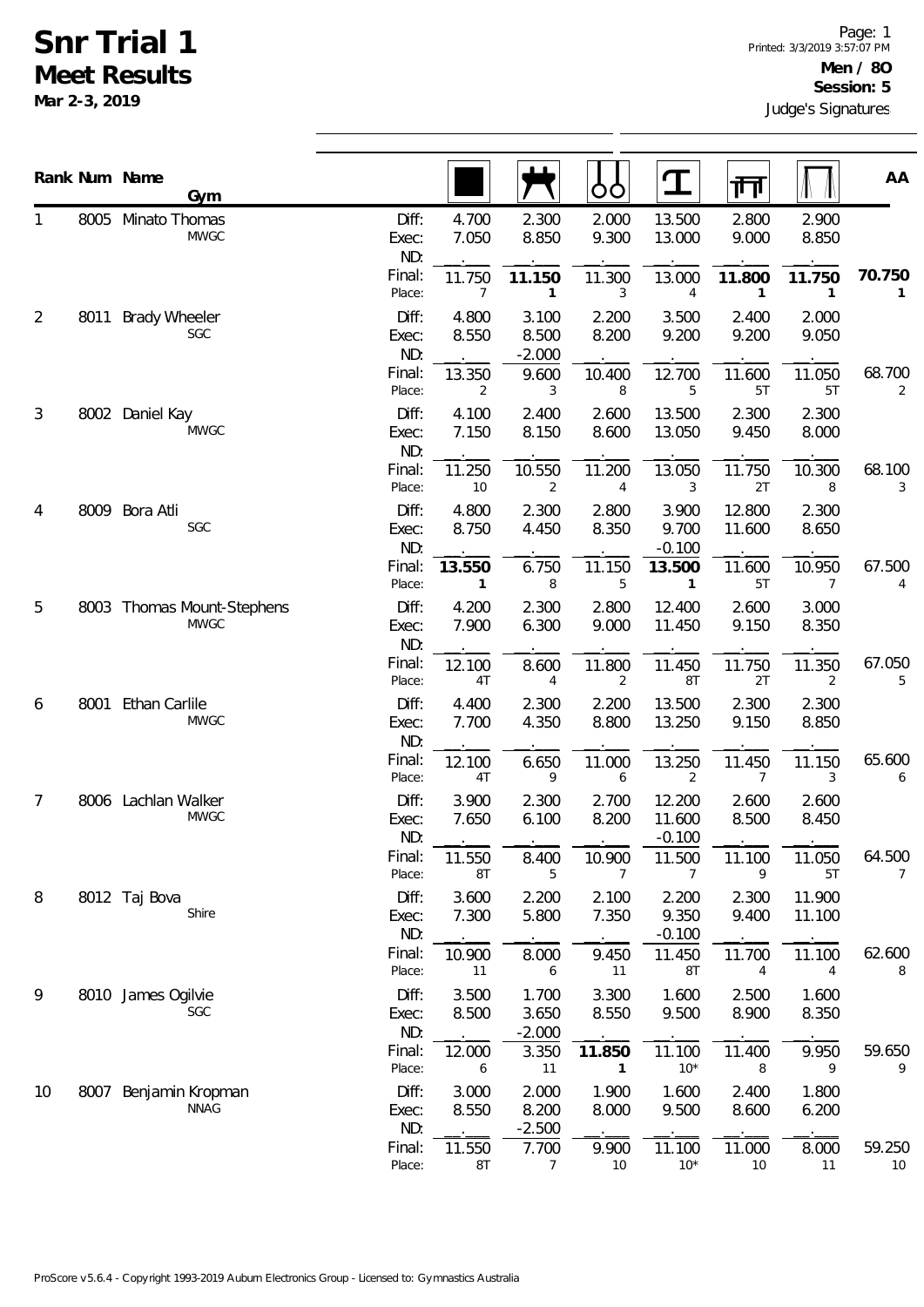## **Snr Trial 1 Meet Results**

**Mar 2-3, 2019**

|                |      | Rank Num Name<br>Gym                      |                       |                          |                            | OO                       | <u>ፐ</u>                     | गा                       |                  | AA                       |
|----------------|------|-------------------------------------------|-----------------------|--------------------------|----------------------------|--------------------------|------------------------------|--------------------------|------------------|--------------------------|
| 1              |      | 8005 Minato Thomas<br><b>MWGC</b>         | Diff:<br>Exec:<br>ND: | 4.700<br>7.050           | 2.300<br>8.850             | 2.000<br>9.300           | 13.500<br>13.000             | 2.800<br>9.000           | 2.900<br>8.850   |                          |
|                |      |                                           | Final:<br>Place:      | 11.750<br>$\overline{7}$ | 11.150<br>$\mathbf{1}$     | 11.300<br>3              | 13.000<br>$\overline{4}$     | 11.800<br>$\mathbf{1}$   | 11.750<br>1      | 70.750<br>1              |
| $\overline{2}$ | 8011 | <b>Brady Wheeler</b><br>SGC               | Diff:<br>Exec:<br>ND: | 4.800<br>8.550           | 3.100<br>8.500<br>$-2.000$ | 2.200<br>8.200           | 3.500<br>9.200               | 2.400<br>9.200           | 2.000<br>9.050   |                          |
|                |      |                                           | Final:<br>Place:      | 13.350<br>2              | 9.600<br>3                 | 10.400<br>8              | 12.700<br>5                  | 11.600<br>5T             | 11.050<br>5T     | 68.700<br>$\overline{2}$ |
| 3              |      | 8002 Daniel Kay<br><b>MWGC</b>            | Diff:<br>Exec:<br>ND: | 4.100<br>7.150           | 2.400<br>8.150             | 2.600<br>8.600           | 13.500<br>13.050             | 2.300<br>9.450           | 2.300<br>8.000   |                          |
|                |      |                                           | Final:<br>Place:      | 11.250<br>10             | 10.550<br>2                | 11.200<br>$\overline{4}$ | 13.050<br>3                  | 11.750<br>2T             | 10.300<br>8      | 68.100<br>3              |
| 4              | 8009 | Bora Atli<br>SGC                          | Diff:<br>Exec:<br>ND: | 4.800<br>8.750           | 2.300<br>4.450             | 2.800<br>8.350           | 3.900<br>9.700<br>$-0.100$   | 12.800<br>11.600         | 2.300<br>8.650   |                          |
|                |      |                                           | Final:<br>Place:      | 13.550<br>1              | 6.750<br>8                 | 11.150<br>5              | 13.500<br>$\mathbf{1}$       | 11.600<br>5T             | 10.950<br>7      | 67.500<br>4              |
| 5              |      | 8003 Thomas Mount-Stephens<br><b>MWGC</b> | Diff:<br>Exec:<br>ND: | 4.200<br>7.900           | 2.300<br>6.300             | 2.800<br>9.000           | 12.400<br>11.450             | 2.600<br>9.150           | 3.000<br>8.350   |                          |
|                |      |                                           | Final:<br>Place:      | 12.100<br>4T             | 8.600<br>4                 | 11.800<br>2              | 11.450<br>8T                 | 11.750<br>2T             | 11.350<br>2      | 67.050<br>5              |
| 6              | 8001 | <b>Ethan Carlile</b><br><b>MWGC</b>       | Diff:<br>Exec:<br>ND: | 4.400<br>7.700           | 2.300<br>4.350             | 2.200<br>8.800           | 13.500<br>13.250             | 2.300<br>9.150           | 2.300<br>8.850   |                          |
|                |      |                                           | Final:<br>Place:      | 12.100<br>4T             | 6.650<br>9                 | 11.000<br>6              | 13.250<br>$\overline{2}$     | 11.450<br>$\overline{7}$ | 11.150<br>3      | 65.600<br>6              |
| 7              |      | 8006 Lachlan Walker<br><b>MWGC</b>        | Diff:<br>Exec:<br>ND: | 3.900<br>7.650           | 2.300<br>6.100             | 2.700<br>8.200           | 12.200<br>11.600<br>$-0.100$ | 2.600<br>8.500           | 2.600<br>8.450   |                          |
|                |      |                                           | Final:<br>Place:      | 11.550<br>8T             | 8.400<br>5                 | 10.900<br>7              | 11.500<br>7                  | 11.100<br>9              | 11.050<br>5T     | 64.500<br>7              |
| 8              |      | 8012 Taj Bova<br>Shire                    | Diff:<br>Exec:<br>ND: | 3.600<br>7.300           | 2.200<br>5.800             | 2.100<br>7.350           | 2.200<br>9.350<br>$-0.100$   | 2.300<br>9.400           | 11.900<br>11.100 |                          |
|                |      |                                           | Final:<br>Place:      | 10.900<br>11             | 8.000<br>6                 | 9.450<br>11              | 11.450<br>8T                 | 11.700<br>4              | 11.100<br>4      | 62.600<br>8              |
| 9              |      | 8010 James Ogilvie<br>SGC                 | Diff:<br>Exec:<br>ND: | 3.500<br>8.500           | 1.700<br>3.650<br>$-2.000$ | 3.300<br>8.550           | 1.600<br>9.500               | 2.500<br>8.900           | 1.600<br>8.350   |                          |
|                |      |                                           | Final:<br>Place:      | 12.000<br>6              | 3.350<br>11                | 11.850<br>$\mathbf{1}$   | 11.100<br>$10^*$             | 11.400<br>8              | 9.950<br>9       | 59.650<br>9              |
| 10             | 8007 | Benjamin Kropman<br><b>NNAG</b>           | Diff:<br>Exec:<br>ND: | 3.000<br>8.550           | 2.000<br>8.200<br>$-2.500$ | 1.900<br>8.000           | 1.600<br>9.500               | 2.400<br>8.600           | 1.800<br>6.200   |                          |
|                |      |                                           | Final:<br>Place:      | 11.550<br>8T             | 7.700<br>$\overline{7}$    | 9.900<br>$10$            | 11.100<br>$10*$              | 11.000<br>10             | 8.000<br>11      | 59.250<br>10             |